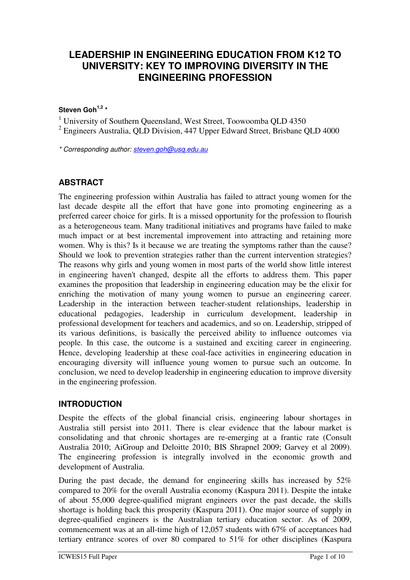# **LEADERSHIP IN ENGINEERING EDUCATION FROM K12 TO UNIVERSITY: KEY TO IMPROVING DIVERSITY IN THE ENGINEERING PROFESSION**

#### **Steven Goh1,2 \***

<sup>1</sup> University of Southern Queensland, West Street, Toowoomba QLD 4350

 $2$  Engineers Australia, QLD Division, 447 Upper Edward Street, Brisbane QLD 4000

\* Corresponding author: steven.goh@usq.edu.au

## **ABSTRACT**

The engineering profession within Australia has failed to attract young women for the last decade despite all the effort that have gone into promoting engineering as a preferred career choice for girls. It is a missed opportunity for the profession to flourish as a heterogeneous team. Many traditional initiatives and programs have failed to make much impact or at best incremental improvement into attracting and retaining more women. Why is this? Is it because we are treating the symptoms rather than the cause? Should we look to prevention strategies rather than the current intervention strategies? The reasons why girls and young women in most parts of the world show little interest in engineering haven't changed, despite all the efforts to address them. This paper examines the proposition that leadership in engineering education may be the elixir for enriching the motivation of many young women to pursue an engineering career. Leadership in the interaction between teacher-student relationships, leadership in educational pedagogies, leadership in curriculum development, leadership in professional development for teachers and academics, and so on. Leadership, stripped of its various definitions, is basically the perceived ability to influence outcomes via people. In this case, the outcome is a sustained and exciting career in engineering. Hence, developing leadership at these coal-face activities in engineering education in encouraging diversity will influence young women to pursue such an outcome. In conclusion, we need to develop leadership in engineering education to improve diversity in the engineering profession.

#### **INTRODUCTION**

Despite the effects of the global financial crisis, engineering labour shortages in Australia still persist into 2011. There is clear evidence that the labour market is consolidating and that chronic shortages are re-emerging at a frantic rate (Consult Australia 2010; AiGroup and Deloitte 2010; BIS Shrapnel 2009; Garvey et al 2009). The engineering profession is integrally involved in the economic growth and development of Australia.

During the past decade, the demand for engineering skills has increased by 52% compared to 20% for the overall Australia economy (Kaspura 2011). Despite the intake of about 55,000 degree-qualified migrant engineers over the past decade, the skills shortage is holding back this prosperity (Kaspura 2011). One major source of supply in degree-qualified engineers is the Australian tertiary education sector. As of 2009, commencement was at an all-time high of 12,057 students with 67% of acceptances had tertiary entrance scores of over 80 compared to 51% for other disciplines (Kaspura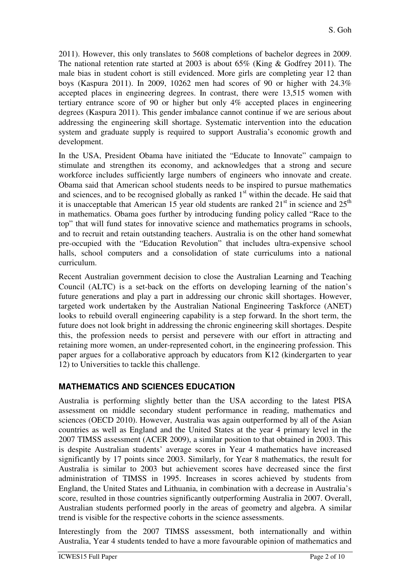2011). However, this only translates to 5608 completions of bachelor degrees in 2009. The national retention rate started at 2003 is about 65% (King & Godfrey 2011). The male bias in student cohort is still evidenced. More girls are completing year 12 than boys (Kaspura 2011). In 2009, 10262 men had scores of 90 or higher with 24.3% accepted places in engineering degrees. In contrast, there were 13,515 women with tertiary entrance score of 90 or higher but only 4% accepted places in engineering degrees (Kaspura 2011). This gender imbalance cannot continue if we are serious about addressing the engineering skill shortage. Systematic intervention into the education system and graduate supply is required to support Australia's economic growth and development.

In the USA, President Obama have initiated the "Educate to Innovate" campaign to stimulate and strengthen its economy, and acknowledges that a strong and secure workforce includes sufficiently large numbers of engineers who innovate and create. Obama said that American school students needs to be inspired to pursue mathematics and sciences, and to be recognised globally as ranked  $1<sup>st</sup>$  within the decade. He said that it is unacceptable that American 15 year old students are ranked  $21<sup>st</sup>$  in science and  $25<sup>th</sup>$ in mathematics. Obama goes further by introducing funding policy called "Race to the top" that will fund states for innovative science and mathematics programs in schools, and to recruit and retain outstanding teachers. Australia is on the other hand somewhat pre-occupied with the "Education Revolution" that includes ultra-expensive school halls, school computers and a consolidation of state curriculums into a national curriculum.

Recent Australian government decision to close the Australian Learning and Teaching Council (ALTC) is a set-back on the efforts on developing learning of the nation's future generations and play a part in addressing our chronic skill shortages. However, targeted work undertaken by the Australian National Engineering Taskforce (ANET) looks to rebuild overall engineering capability is a step forward. In the short term, the future does not look bright in addressing the chronic engineering skill shortages. Despite this, the profession needs to persist and persevere with our effort in attracting and retaining more women, an under-represented cohort, in the engineering profession. This paper argues for a collaborative approach by educators from K12 (kindergarten to year 12) to Universities to tackle this challenge.

## **MATHEMATICS AND SCIENCES EDUCATION**

Australia is performing slightly better than the USA according to the latest PISA assessment on middle secondary student performance in reading, mathematics and sciences (OECD 2010). However, Australia was again outperformed by all of the Asian countries as well as England and the United States at the year 4 primary level in the 2007 TIMSS assessment (ACER 2009), a similar position to that obtained in 2003. This is despite Australian students' average scores in Year 4 mathematics have increased significantly by 17 points since 2003. Similarly, for Year 8 mathematics, the result for Australia is similar to 2003 but achievement scores have decreased since the first administration of TIMSS in 1995. Increases in scores achieved by students from England, the United States and Lithuania, in combination with a decrease in Australia's score, resulted in those countries significantly outperforming Australia in 2007. Overall, Australian students performed poorly in the areas of geometry and algebra. A similar trend is visible for the respective cohorts in the science assessments.

Interestingly from the 2007 TIMSS assessment, both internationally and within Australia, Year 4 students tended to have a more favourable opinion of mathematics and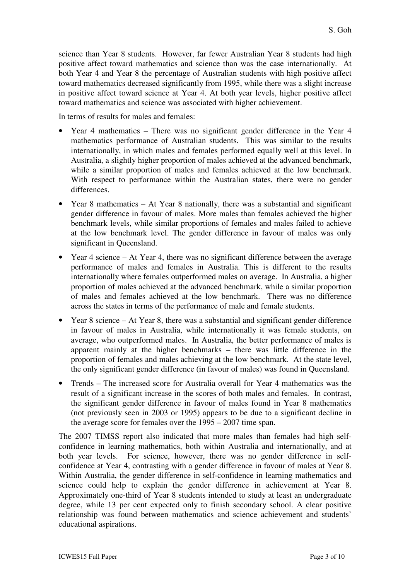science than Year 8 students. However, far fewer Australian Year 8 students had high positive affect toward mathematics and science than was the case internationally. At both Year 4 and Year 8 the percentage of Australian students with high positive affect toward mathematics decreased significantly from 1995, while there was a slight increase in positive affect toward science at Year 4. At both year levels, higher positive affect toward mathematics and science was associated with higher achievement.

In terms of results for males and females:

- Year 4 mathematics There was no significant gender difference in the Year 4 mathematics performance of Australian students. This was similar to the results internationally, in which males and females performed equally well at this level. In Australia, a slightly higher proportion of males achieved at the advanced benchmark, while a similar proportion of males and females achieved at the low benchmark. With respect to performance within the Australian states, there were no gender differences.
- Year 8 mathematics At Year 8 nationally, there was a substantial and significant gender difference in favour of males. More males than females achieved the higher benchmark levels, while similar proportions of females and males failed to achieve at the low benchmark level. The gender difference in favour of males was only significant in Queensland.
- Year 4 science At Year 4, there was no significant difference between the average performance of males and females in Australia. This is different to the results internationally where females outperformed males on average. In Australia, a higher proportion of males achieved at the advanced benchmark, while a similar proportion of males and females achieved at the low benchmark. There was no difference across the states in terms of the performance of male and female students.
- Year 8 science At Year 8, there was a substantial and significant gender difference in favour of males in Australia, while internationally it was female students, on average, who outperformed males. In Australia, the better performance of males is apparent mainly at the higher benchmarks – there was little difference in the proportion of females and males achieving at the low benchmark. At the state level, the only significant gender difference (in favour of males) was found in Queensland.
- Trends The increased score for Australia overall for Year 4 mathematics was the result of a significant increase in the scores of both males and females. In contrast, the significant gender difference in favour of males found in Year 8 mathematics (not previously seen in 2003 or 1995) appears to be due to a significant decline in the average score for females over the 1995 – 2007 time span.

The 2007 TIMSS report also indicated that more males than females had high selfconfidence in learning mathematics, both within Australia and internationally, and at both year levels. For science, however, there was no gender difference in selfconfidence at Year 4, contrasting with a gender difference in favour of males at Year 8. Within Australia, the gender difference in self-confidence in learning mathematics and science could help to explain the gender difference in achievement at Year 8. Approximately one-third of Year 8 students intended to study at least an undergraduate degree, while 13 per cent expected only to finish secondary school. A clear positive relationship was found between mathematics and science achievement and students' educational aspirations.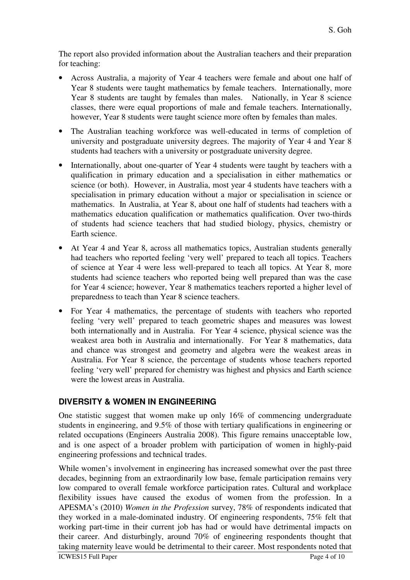The report also provided information about the Australian teachers and their preparation for teaching:

- Across Australia, a majority of Year 4 teachers were female and about one half of Year 8 students were taught mathematics by female teachers. Internationally, more Year 8 students are taught by females than males. Nationally, in Year 8 science classes, there were equal proportions of male and female teachers. Internationally, however, Year 8 students were taught science more often by females than males.
- The Australian teaching workforce was well-educated in terms of completion of university and postgraduate university degrees. The majority of Year 4 and Year 8 students had teachers with a university or postgraduate university degree.
- Internationally, about one-quarter of Year 4 students were taught by teachers with a qualification in primary education and a specialisation in either mathematics or science (or both). However, in Australia, most year 4 students have teachers with a specialisation in primary education without a major or specialisation in science or mathematics. In Australia, at Year 8, about one half of students had teachers with a mathematics education qualification or mathematics qualification. Over two-thirds of students had science teachers that had studied biology, physics, chemistry or Earth science.
- At Year 4 and Year 8, across all mathematics topics, Australian students generally had teachers who reported feeling 'very well' prepared to teach all topics. Teachers of science at Year 4 were less well-prepared to teach all topics. At Year 8, more students had science teachers who reported being well prepared than was the case for Year 4 science; however, Year 8 mathematics teachers reported a higher level of preparedness to teach than Year 8 science teachers.
- For Year 4 mathematics, the percentage of students with teachers who reported feeling 'very well' prepared to teach geometric shapes and measures was lowest both internationally and in Australia. For Year 4 science, physical science was the weakest area both in Australia and internationally. For Year 8 mathematics, data and chance was strongest and geometry and algebra were the weakest areas in Australia. For Year 8 science, the percentage of students whose teachers reported feeling 'very well' prepared for chemistry was highest and physics and Earth science were the lowest areas in Australia.

## **DIVERSITY & WOMEN IN ENGINEERING**

One statistic suggest that women make up only 16% of commencing undergraduate students in engineering, and 9.5% of those with tertiary qualifications in engineering or related occupations (Engineers Australia 2008). This figure remains unacceptable low, and is one aspect of a broader problem with participation of women in highly-paid engineering professions and technical trades.

While women's involvement in engineering has increased somewhat over the past three decades, beginning from an extraordinarily low base, female participation remains very low compared to overall female workforce participation rates. Cultural and workplace flexibility issues have caused the exodus of women from the profession. In a APESMA's (2010) *Women in the Profession* survey, 78% of respondents indicated that they worked in a male-dominated industry. Of engineering respondents, 75% felt that working part-time in their current job has had or would have detrimental impacts on their career. And disturbingly, around 70% of engineering respondents thought that taking maternity leave would be detrimental to their career. Most respondents noted that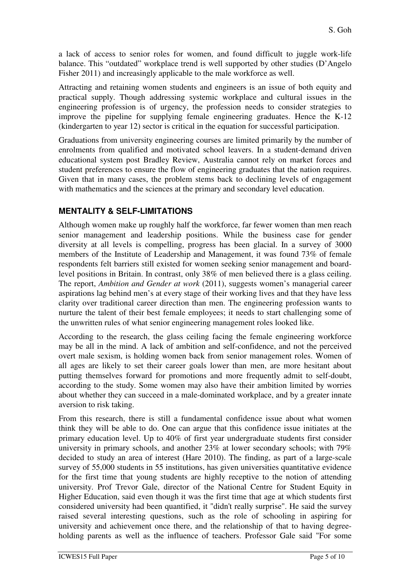a lack of access to senior roles for women, and found difficult to juggle work-life balance. This "outdated" workplace trend is well supported by other studies (D'Angelo Fisher 2011) and increasingly applicable to the male workforce as well.

Attracting and retaining women students and engineers is an issue of both equity and practical supply. Though addressing systemic workplace and cultural issues in the engineering profession is of urgency, the profession needs to consider strategies to improve the pipeline for supplying female engineering graduates. Hence the K-12 (kindergarten to year 12) sector is critical in the equation for successful participation.

Graduations from university engineering courses are limited primarily by the number of enrolments from qualified and motivated school leavers. In a student-demand driven educational system post Bradley Review, Australia cannot rely on market forces and student preferences to ensure the flow of engineering graduates that the nation requires. Given that in many cases, the problem stems back to declining levels of engagement with mathematics and the sciences at the primary and secondary level education.

### **MENTALITY & SELF-LIMITATIONS**

Although women make up roughly half the workforce, far fewer women than men reach senior management and leadership positions. While the business case for gender diversity at all levels is compelling, progress has been glacial. In a survey of 3000 members of the Institute of Leadership and Management, it was found 73% of female respondents felt barriers still existed for women seeking senior management and boardlevel positions in Britain. In contrast, only 38% of men believed there is a glass ceiling. The report, *Ambition and Gender at work* (2011), suggests women's managerial career aspirations lag behind men's at every stage of their working lives and that they have less clarity over traditional career direction than men. The engineering profession wants to nurture the talent of their best female employees; it needs to start challenging some of the unwritten rules of what senior engineering management roles looked like.

According to the research, the glass ceiling facing the female engineering workforce may be all in the mind. A lack of ambition and self-confidence, and not the perceived overt male sexism, is holding women back from senior management roles. Women of all ages are likely to set their career goals lower than men, are more hesitant about putting themselves forward for promotions and more frequently admit to self-doubt, according to the study. Some women may also have their ambition limited by worries about whether they can succeed in a male-dominated workplace, and by a greater innate aversion to risk taking.

From this research, there is still a fundamental confidence issue about what women think they will be able to do. One can argue that this confidence issue initiates at the primary education level. Up to 40% of first year undergraduate students first consider university in primary schools, and another 23% at lower secondary schools; with 79% decided to study an area of interest (Hare 2010). The finding, as part of a large-scale survey of 55,000 students in 55 institutions, has given universities quantitative evidence for the first time that young students are highly receptive to the notion of attending university. Prof Trevor Gale, director of the National Centre for Student Equity in Higher Education, said even though it was the first time that age at which students first considered university had been quantified, it "didn't really surprise". He said the survey raised several interesting questions, such as the role of schooling in aspiring for university and achievement once there, and the relationship of that to having degreeholding parents as well as the influence of teachers. Professor Gale said "For some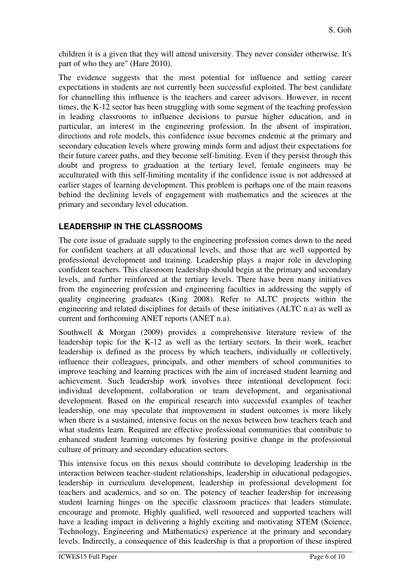children it is a given that they will attend university. They never consider otherwise. It's part of who they are" (Hare 2010).

The evidence suggests that the most potential for influence and setting career expectations in students are not currently been successful exploited. The best candidate for channelling this influence is the teachers and career advisors. However, in recent times, the K-12 sector has been struggling with some segment of the teaching profession in leading classrooms to influence decisions to pursue higher education, and in particular, an interest in the engineering profession. In the absent of inspiration, directions and role models, this confidence issue becomes endemic at the primary and secondary education levels where growing minds form and adjust their expectations for their future career paths, and they become self-limiting. Even if they persist through this doubt and progress to graduation at the tertiary level, female engineers may be acculturated with this self-limiting mentality if the confidence issue is not addressed at earlier stages of learning development. This problem is perhaps one of the main reasons behind the declining levels of engagement with mathematics and the sciences at the primary and secondary level education.

# **LEADERSHIP IN THE CLASSROOMS**

The core issue of graduate supply to the engineering profession comes down to the need for confident teachers at all educational levels, and those that are well supported by professional development and training. Leadership plays a major role in developing confident teachers. This classroom leadership should begin at the primary and secondary levels, and further reinforced at the tertiary levels. There have been many initiatives from the engineering profession and engineering faculties in addressing the supply of quality engineering graduates (King 2008). Refer to ALTC projects within the engineering and related disciplines for details of these initiatives (ALTC n.a) as well as current and forthcoming ANET reports (ANET n.a).

Southwell & Morgan (2009) provides a comprehensive literature review of the leadership topic for the K-12 as well as the tertiary sectors. In their work, teacher leadership is defined as the process by which teachers, individually or collectively, influence their colleagues, principals, and other members of school communities to improve teaching and learning practices with the aim of increased student learning and achievement. Such leadership work involves three intentional development foci: individual development, collaboration or team development, and organisational development. Based on the empirical research into successful examples of teacher leadership, one may speculate that improvement in student outcomes is more likely when there is a sustained, intensive focus on the nexus between how teachers teach and what students learn. Required are effective professional communities that contribute to enhanced student learning outcomes by fostering positive change in the professional culture of primary and secondary education sectors.

This intensive focus on this nexus should contribute to developing leadership in the interaction between teacher-student relationships, leadership in educational pedagogies, leadership in curriculum development, leadership in professional development for teachers and academics, and so on. The potency of teacher leadership for increasing student learning hinges on the specific classroom practices that leaders stimulate, encourage and promote. Highly qualified, well resourced and supported teachers will have a leading impact in delivering a highly exciting and motivating STEM (Science, Technology, Engineering and Mathematics) experience at the primary and secondary levels. Indirectly, a consequence of this leadership is that a proportion of these inspired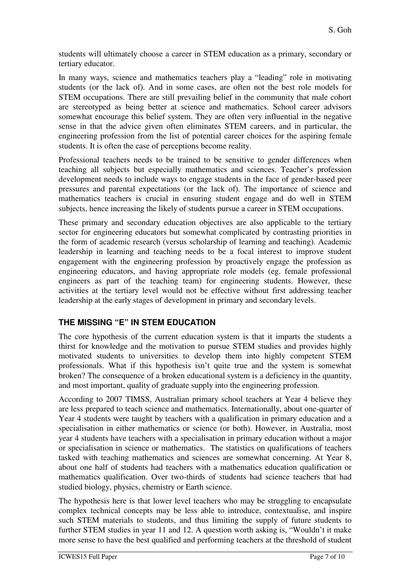students will ultimately choose a career in STEM education as a primary, secondary or tertiary educator.

In many ways, science and mathematics teachers play a "leading" role in motivating students (or the lack of). And in some cases, are often not the best role models for STEM occupations. There are still prevailing belief in the community that male cohort are stereotyped as being better at science and mathematics. School career advisors somewhat encourage this belief system. They are often very influential in the negative sense in that the advice given often eliminates STEM careers, and in particular, the engineering profession from the list of potential career choices for the aspiring female students. It is often the case of perceptions become reality.

Professional teachers needs to be trained to be sensitive to gender differences when teaching all subjects but especially mathematics and sciences. Teacher's profession development needs to include ways to engage students in the face of gender-based peer pressures and parental expectations (or the lack of). The importance of science and mathematics teachers is crucial in ensuring student engage and do well in STEM subjects, hence increasing the likely of students pursue a career in STEM occupations.

These primary and secondary education objectives are also applicable to the tertiary sector for engineering educators but somewhat complicated by contrasting priorities in the form of academic research (versus scholarship of learning and teaching). Academic leadership in learning and teaching needs to be a focal interest to improve student engagement with the engineering profession by proactively engage the profession as engineering educators, and having appropriate role models (eg. female professional engineers as part of the teaching team) for engineering students. However, these activities at the tertiary level would not be effective without first addressing teacher leadership at the early stages of development in primary and secondary levels.

## **THE MISSING "E" IN STEM EDUCATION**

The core hypothesis of the current education system is that it imparts the students a thirst for knowledge and the motivation to pursue STEM studies and provides highly motivated students to universities to develop them into highly competent STEM professionals. What if this hypothesis isn't quite true and the system is somewhat broken? The consequence of a broken educational system is a deficiency in the quantity, and most important, quality of graduate supply into the engineering profession.

According to 2007 TIMSS, Australian primary school teachers at Year 4 believe they are less prepared to teach science and mathematics. Internationally, about one-quarter of Year 4 students were taught by teachers with a qualification in primary education and a specialisation in either mathematics or science (or both). However, in Australia, most year 4 students have teachers with a specialisation in primary education without a major or specialisation in science or mathematics. The statistics on qualifications of teachers tasked with teaching mathematics and sciences are somewhat concerning. At Year 8, about one half of students had teachers with a mathematics education qualification or mathematics qualification. Over two-thirds of students had science teachers that had studied biology, physics, chemistry or Earth science.

The hypothesis here is that lower level teachers who may be struggling to encapsulate complex technical concepts may be less able to introduce, contextualise, and inspire such STEM materials to students, and thus limiting the supply of future students to further STEM studies in year 11 and 12. A question worth asking is, "Wouldn't it make more sense to have the best qualified and performing teachers at the threshold of student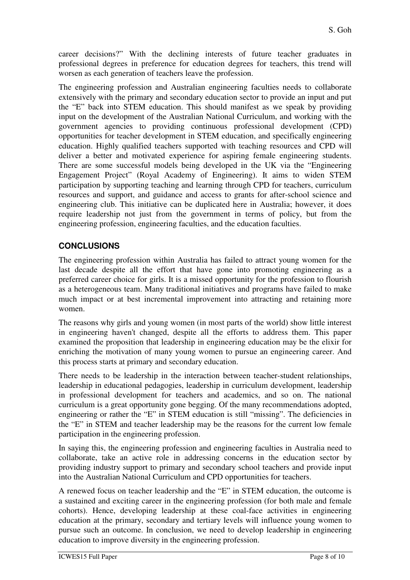career decisions?" With the declining interests of future teacher graduates in professional degrees in preference for education degrees for teachers, this trend will worsen as each generation of teachers leave the profession.

The engineering profession and Australian engineering faculties needs to collaborate extensively with the primary and secondary education sector to provide an input and put the "E" back into STEM education. This should manifest as we speak by providing input on the development of the Australian National Curriculum, and working with the government agencies to providing continuous professional development (CPD) opportunities for teacher development in STEM education, and specifically engineering education. Highly qualified teachers supported with teaching resources and CPD will deliver a better and motivated experience for aspiring female engineering students. There are some successful models being developed in the UK via the "Engineering Engagement Project" (Royal Academy of Engineering). It aims to widen STEM participation by supporting teaching and learning through CPD for teachers, curriculum resources and support, and guidance and access to grants for after-school science and engineering club. This initiative can be duplicated here in Australia; however, it does require leadership not just from the government in terms of policy, but from the engineering profession, engineering faculties, and the education faculties.

# **CONCLUSIONS**

The engineering profession within Australia has failed to attract young women for the last decade despite all the effort that have gone into promoting engineering as a preferred career choice for girls. It is a missed opportunity for the profession to flourish as a heterogeneous team. Many traditional initiatives and programs have failed to make much impact or at best incremental improvement into attracting and retaining more women.

The reasons why girls and young women (in most parts of the world) show little interest in engineering haven't changed, despite all the efforts to address them. This paper examined the proposition that leadership in engineering education may be the elixir for enriching the motivation of many young women to pursue an engineering career. And this process starts at primary and secondary education.

There needs to be leadership in the interaction between teacher-student relationships, leadership in educational pedagogies, leadership in curriculum development, leadership in professional development for teachers and academics, and so on. The national curriculum is a great opportunity gone begging. Of the many recommendations adopted, engineering or rather the "E" in STEM education is still "missing". The deficiencies in the "E" in STEM and teacher leadership may be the reasons for the current low female participation in the engineering profession.

In saying this, the engineering profession and engineering faculties in Australia need to collaborate, take an active role in addressing concerns in the education sector by providing industry support to primary and secondary school teachers and provide input into the Australian National Curriculum and CPD opportunities for teachers.

A renewed focus on teacher leadership and the "E" in STEM education, the outcome is a sustained and exciting career in the engineering profession (for both male and female cohorts). Hence, developing leadership at these coal-face activities in engineering education at the primary, secondary and tertiary levels will influence young women to pursue such an outcome. In conclusion, we need to develop leadership in engineering education to improve diversity in the engineering profession.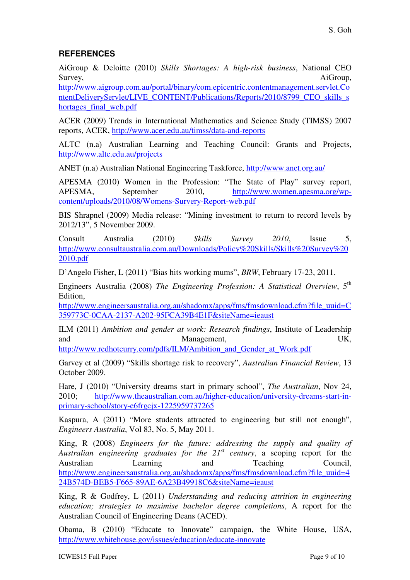### **REFERENCES**

AiGroup & Deloitte (2010) *Skills Shortages: A high-risk business*, National CEO Survey, AiGroup,

http://www.aigroup.com.au/portal/binary/com.epicentric.contentmanagement.servlet.Co ntentDeliveryServlet/LIVE\_CONTENT/Publications/Reports/2010/8799\_CEO\_skills\_s hortages\_final\_web.pdf

ACER (2009) Trends in International Mathematics and Science Study (TIMSS) 2007 reports, ACER, http://www.acer.edu.au/timss/data-and-reports

ALTC (n.a) Australian Learning and Teaching Council: Grants and Projects, http://www.altc.edu.au/projects

ANET (n.a) Australian National Engineering Taskforce, http://www.anet.org.au/

APESMA (2010) Women in the Profession: "The State of Play" survey report, APESMA, September 2010, http://www.women.apesma.org/wpcontent/uploads/2010/08/Womens-Survery-Report-web.pdf

BIS Shrapnel (2009) Media release: "Mining investment to return to record levels by 2012/13", 5 November 2009.

Consult Australia (2010) *Skills Survey 2010*, Issue 5, http://www.consultaustralia.com.au/Downloads/Policy%20Skills/Skills%20Survey%20 2010.pdf

D'Angelo Fisher, L (2011) "Bias hits working mums", *BRW*, February 17-23, 2011.

Engineers Australia (2008) *The Engineering Profession: A Statistical Overview*, 5th Edition,

http://www.engineersaustralia.org.au/shadomx/apps/fms/fmsdownload.cfm?file\_uuid=C 359773C-0CAA-2137-A202-95FCA39B4E1F&siteName=ieaust

ILM (2011) *Ambition and gender at work: Research findings*, Institute of Leadership and Management, UK,

http://www.redhotcurry.com/pdfs/ILM/Ambition\_and\_Gender\_at\_Work.pdf

Garvey et al (2009) "Skills shortage risk to recovery", *Australian Financial Review*, 13 October 2009.

Hare, J (2010) "University dreams start in primary school", *The Australian*, Nov 24, 2010; http://www.theaustralian.com.au/higher-education/university-dreams-start-inprimary-school/story-e6frgcjx-1225959737265

Kaspura, A (2011) "More students attracted to engineering but still not enough", *Engineers Australia*, Vol 83, No. 5, May 2011.

King, R (2008) *Engineers for the future: addressing the supply and quality of Australian engineering graduates for the 21st century*, a scoping report for the Australian Learning and Teaching Council, http://www.engineersaustralia.org.au/shadomx/apps/fms/fmsdownload.cfm?file\_uuid=4 24B574D-BEB5-F665-89AE-6A23B49918C6&siteName=ieaust

King, R & Godfrey, L (2011) *Understanding and reducing attrition in engineering education; strategies to maximise bachelor degree completions*, A report for the Australian Council of Engineering Deans (ACED).

Obama, B (2010) "Educate to Innovate" campaign, the White House, USA, http://www.whitehouse.gov/issues/education/educate-innovate